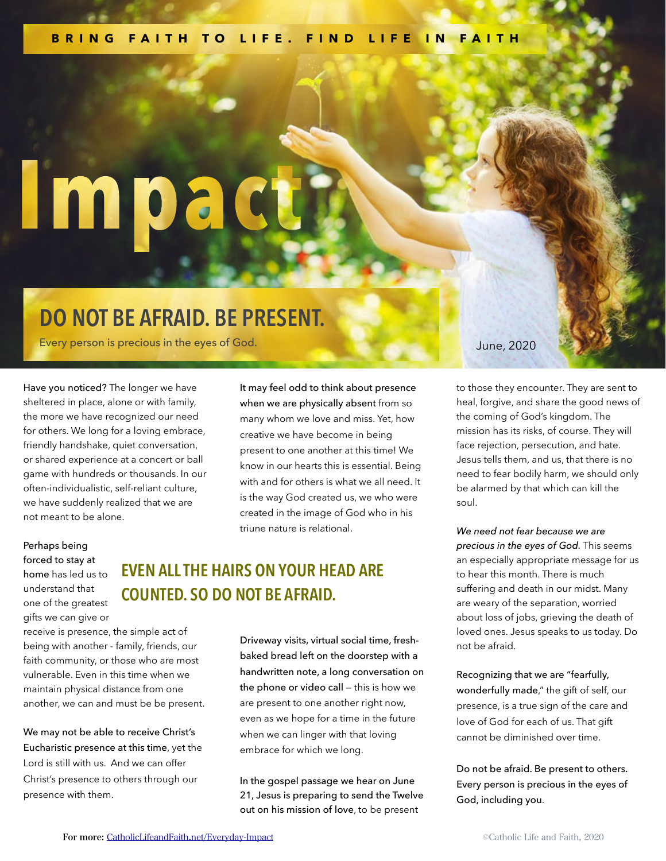# **Impac**

## **DO NOT BE AFRAID. BE PRESENT.**

Every person is precious in the eyes of God.

Have you noticed? The longer we have sheltered in place, alone or with family, the more we have recognized our need for others. We long for a loving embrace, friendly handshake, quiet conversation, or shared experience at a concert or ball game with hundreds or thousands. In our often-individualistic, self-reliant culture, we have suddenly realized that we are not meant to be alone.

Perhaps being forced to stay at home has led us to understand that one of the greatest gifts we can give or

receive is presence, the simple act of being with another - family, friends, our faith community, or those who are most vulnerable. Even in this time when we maintain physical distance from one another, we can and must be be present.

We may not be able to receive Christ's Eucharistic presence at this time, yet the Lord is still with us. And we can offer Christ's presence to others through our presence with them.

It may feel odd to think about presence when we are physically absent from so many whom we love and miss. Yet, how creative we have become in being present to one another at this time! We know in our hearts this is essential. Being with and for others is what we all need. It is the way God created us, we who were created in the image of God who in his triune nature is relational.

### **EVEN ALL THE HAIRS ON YOUR HEAD ARE COUNTED. SO DO NOT BE AFRAID.**

Driveway visits, virtual social time, freshbaked bread left on the doorstep with a handwritten note, a long conversation on the phone or video call — this is how we are present to one another right now, even as we hope for a time in the future when we can linger with that loving embrace for which we long.

In the gospel passage we hear on June 21, Jesus is preparing to send the Twelve out on his mission of love, to be present

June, 2020

to those they encounter. They are sent to heal, forgive, and share the good news of the coming of God's kingdom. The mission has its risks, of course. They will face rejection, persecution, and hate. Jesus tells them, and us, that there is no need to fear bodily harm, we should only be alarmed by that which can kill the soul.

*We need not fear because we are precious in the eyes of God.* This seems an especially appropriate message for us to hear this month. There is much suffering and death in our midst. Many are weary of the separation, worried about loss of jobs, grieving the death of loved ones. Jesus speaks to us today. Do not be afraid.

Recognizing that we are "fearfully, wonderfully made," the gift of self, our presence, is a true sign of the care and love of God for each of us. That gift cannot be diminished over time.

Do not be afraid. Be present to others. Every person is precious in the eyes of God, including you.